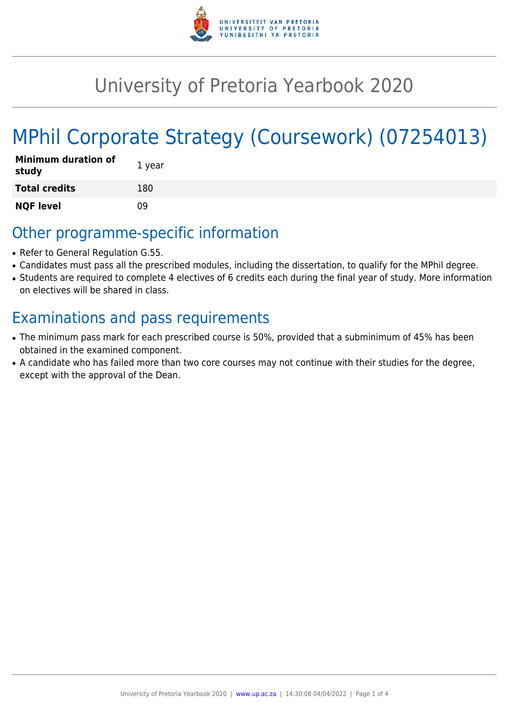

# University of Pretoria Yearbook 2020

# MPhil Corporate Strategy (Coursework) (07254013)

| Minimum duration of<br>study | 1 year |
|------------------------------|--------|
| <b>Total credits</b>         | 180    |
| <b>NQF level</b>             | 09     |

# Other programme-specific information

- Refer to General Regulation G.55.
- Candidates must pass all the prescribed modules, including the dissertation, to qualify for the MPhil degree.
- Students are required to complete 4 electives of 6 credits each during the final year of study. More information on electives will be shared in class.

# Examinations and pass requirements

- The minimum pass mark for each prescribed course is 50%, provided that a subminimum of 45% has been obtained in the examined component.
- A candidate who has failed more than two core courses may not continue with their studies for the degree, except with the approval of the Dean.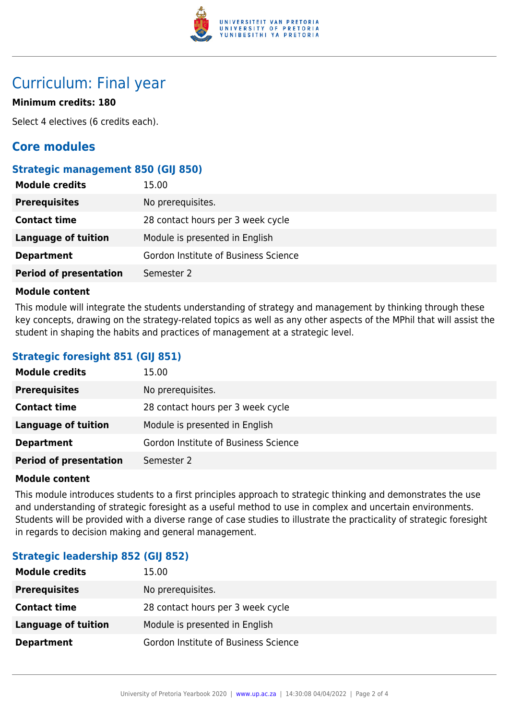

# Curriculum: Final year

## **Minimum credits: 180**

Select 4 electives (6 credits each).

# **Core modules**

### **Strategic management 850 (GIJ 850)**

| <b>Module credits</b>         | 15.00                                |
|-------------------------------|--------------------------------------|
| <b>Prerequisites</b>          | No prerequisites.                    |
| <b>Contact time</b>           | 28 contact hours per 3 week cycle    |
| Language of tuition           | Module is presented in English       |
| <b>Department</b>             | Gordon Institute of Business Science |
| <b>Period of presentation</b> | Semester 2                           |

#### **Module content**

This module will integrate the students understanding of strategy and management by thinking through these key concepts, drawing on the strategy-related topics as well as any other aspects of the MPhil that will assist the student in shaping the habits and practices of management at a strategic level.

## **Strategic foresight 851 (GIJ 851)**

| <b>Module credits</b>         | 15.00                                |
|-------------------------------|--------------------------------------|
| <b>Prerequisites</b>          | No prerequisites.                    |
| <b>Contact time</b>           | 28 contact hours per 3 week cycle    |
| Language of tuition           | Module is presented in English       |
| <b>Department</b>             | Gordon Institute of Business Science |
| <b>Period of presentation</b> | Semester 2                           |

#### **Module content**

This module introduces students to a first principles approach to strategic thinking and demonstrates the use and understanding of strategic foresight as a useful method to use in complex and uncertain environments. Students will be provided with a diverse range of case studies to illustrate the practicality of strategic foresight in regards to decision making and general management.

# **Strategic leadership 852 (GIJ 852)**

| <b>Module credits</b> | 15.00                                |
|-----------------------|--------------------------------------|
| <b>Prerequisites</b>  | No prerequisites.                    |
| <b>Contact time</b>   | 28 contact hours per 3 week cycle    |
| Language of tuition   | Module is presented in English       |
| <b>Department</b>     | Gordon Institute of Business Science |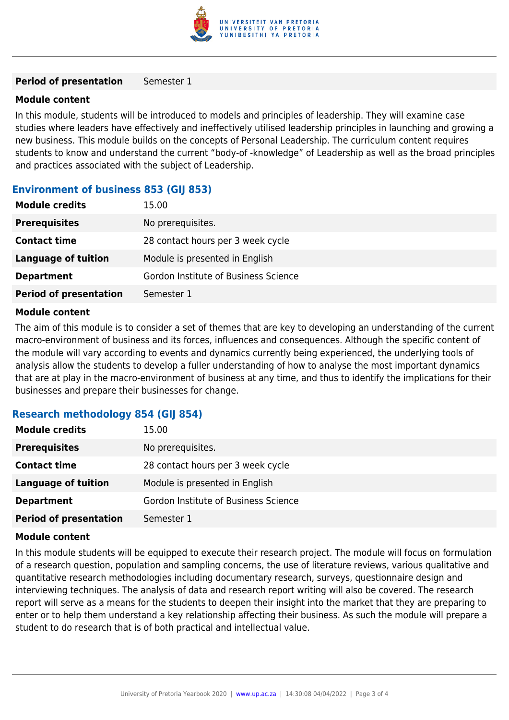

#### **Period of presentation** Semester 1

#### **Module content**

In this module, students will be introduced to models and principles of leadership. They will examine case studies where leaders have effectively and ineffectively utilised leadership principles in launching and growing a new business. This module builds on the concepts of Personal Leadership. The curriculum content requires students to know and understand the current "body-of -knowledge" of Leadership as well as the broad principles and practices associated with the subject of Leadership.

### **Environment of business 853 (GIJ 853)**

| <b>Module credits</b>         | 15.00                                |
|-------------------------------|--------------------------------------|
| <b>Prerequisites</b>          | No prerequisites.                    |
| <b>Contact time</b>           | 28 contact hours per 3 week cycle    |
| <b>Language of tuition</b>    | Module is presented in English       |
| <b>Department</b>             | Gordon Institute of Business Science |
| <b>Period of presentation</b> | Semester 1                           |
|                               |                                      |

#### **Module content**

The aim of this module is to consider a set of themes that are key to developing an understanding of the current macro-environment of business and its forces, influences and consequences. Although the specific content of the module will vary according to events and dynamics currently being experienced, the underlying tools of analysis allow the students to develop a fuller understanding of how to analyse the most important dynamics that are at play in the macro-environment of business at any time, and thus to identify the implications for their businesses and prepare their businesses for change.

#### **Research methodology 854 (GIJ 854)**

| <b>Module credits</b>         | 15.00                                |
|-------------------------------|--------------------------------------|
| <b>Prerequisites</b>          | No prerequisites.                    |
| <b>Contact time</b>           | 28 contact hours per 3 week cycle    |
| Language of tuition           | Module is presented in English       |
| <b>Department</b>             | Gordon Institute of Business Science |
| <b>Period of presentation</b> | Semester 1                           |

#### **Module content**

In this module students will be equipped to execute their research project. The module will focus on formulation of a research question, population and sampling concerns, the use of literature reviews, various qualitative and quantitative research methodologies including documentary research, surveys, questionnaire design and interviewing techniques. The analysis of data and research report writing will also be covered. The research report will serve as a means for the students to deepen their insight into the market that they are preparing to enter or to help them understand a key relationship affecting their business. As such the module will prepare a student to do research that is of both practical and intellectual value.